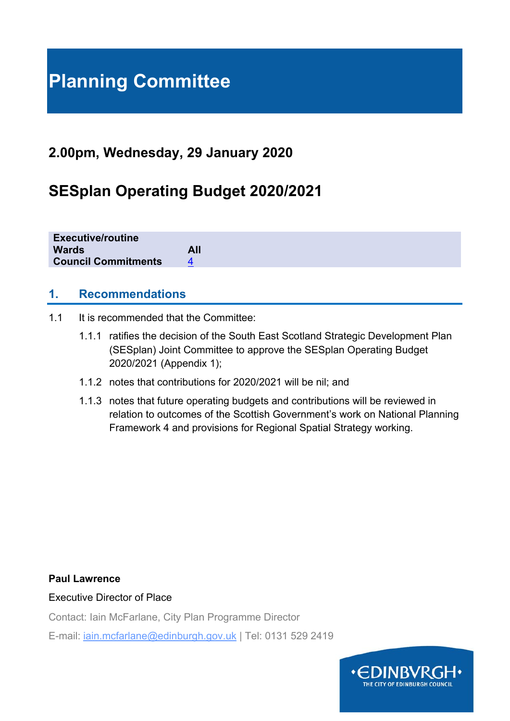# **Planning Committee**

## **2.00pm, Wednesday, 29 January 2020**

## **SESplan Operating Budget 2020/2021**

**Executive/routine Wards All Council Commitments** 4

### **1. Recommendations**

- 1.1 It is recommended that the Committee:
	- 1.1.1 ratifies the decision of the South East Scotland Strategic Development Plan (SESplan) Joint Committee to approve the SESplan Operating Budget 2020/2021 (Appendix 1);
	- 1.1.2 notes that contributions for 2020/2021 will be nil; and
	- 1.1.3 notes that future operating budgets and contributions will be reviewed in relation to outcomes of the Scottish Government's work on National Planning Framework 4 and provisions for Regional Spatial Strategy working.

#### **Paul Lawrence**

Executive Director of Place

Contact: Iain McFarlane, City Plan Programme Director

E-mail: iain.mcfarlane@edinburgh.gov.uk | Tel: 0131 529 2419

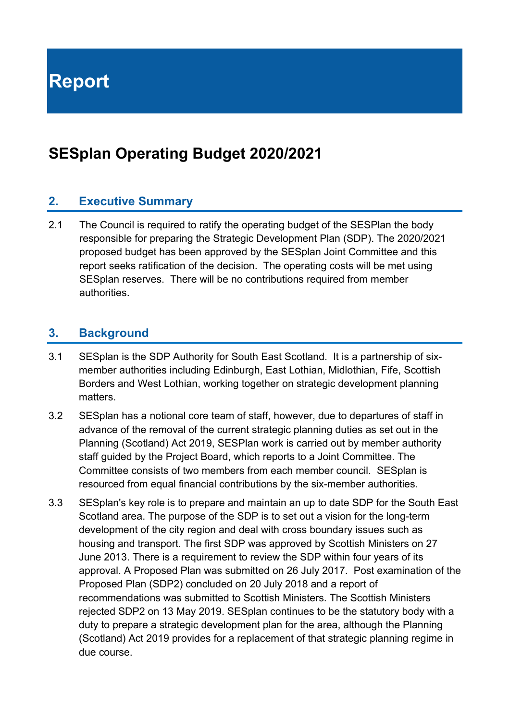**Report** 

## **SESplan Operating Budget 2020/2021**

## **2. Executive Summary**

2.1 The Council is required to ratify the operating budget of the SESPlan the body responsible for preparing the Strategic Development Plan (SDP). The 2020/2021 proposed budget has been approved by the SESplan Joint Committee and this report seeks ratification of the decision. The operating costs will be met using SESplan reserves. There will be no contributions required from member authorities.

### **3. Background**

- 3.1 SESplan is the SDP Authority for South East Scotland. It is a partnership of sixmember authorities including Edinburgh, East Lothian, Midlothian, Fife, Scottish Borders and West Lothian, working together on strategic development planning matters.
- 3.2 SESplan has a notional core team of staff, however, due to departures of staff in advance of the removal of the current strategic planning duties as set out in the Planning (Scotland) Act 2019, SESPlan work is carried out by member authority staff guided by the Project Board, which reports to a Joint Committee. The Committee consists of two members from each member council. SESplan is resourced from equal financial contributions by the six-member authorities.
- 3.3 SESplan's key role is to prepare and maintain an up to date SDP for the South East Scotland area. The purpose of the SDP is to set out a vision for the long-term development of the city region and deal with cross boundary issues such as housing and transport. The first SDP was approved by Scottish Ministers on 27 June 2013. There is a requirement to review the SDP within four years of its approval. A Proposed Plan was submitted on 26 July 2017. Post examination of the Proposed Plan (SDP2) concluded on 20 July 2018 and a report of recommendations was submitted to Scottish Ministers. The Scottish Ministers rejected SDP2 on 13 May 2019. SESplan continues to be the statutory body with a duty to prepare a strategic development plan for the area, although the Planning (Scotland) Act 2019 provides for a replacement of that strategic planning regime in due course.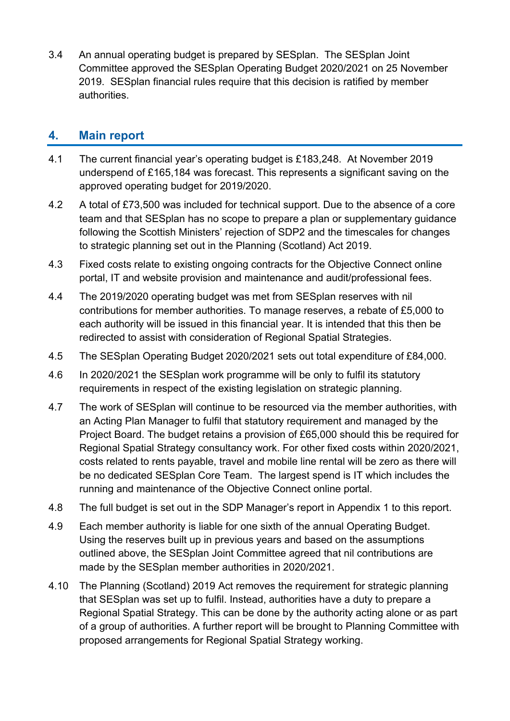3.4 An annual operating budget is prepared by SESplan. The SESplan Joint Committee approved the SESplan Operating Budget 2020/2021 on 25 November 2019. SESplan financial rules require that this decision is ratified by member authorities.

### **4. Main report**

- 4.1 The current financial year's operating budget is £183,248. At November 2019 underspend of £165,184 was forecast. This represents a significant saving on the approved operating budget for 2019/2020.
- 4.2 A total of £73,500 was included for technical support. Due to the absence of a core team and that SESplan has no scope to prepare a plan or supplementary guidance following the Scottish Ministers' rejection of SDP2 and the timescales for changes to strategic planning set out in the Planning (Scotland) Act 2019.
- 4.3 Fixed costs relate to existing ongoing contracts for the Objective Connect online portal, IT and website provision and maintenance and audit/professional fees.
- 4.4 The 2019/2020 operating budget was met from SESplan reserves with nil contributions for member authorities. To manage reserves, a rebate of £5,000 to each authority will be issued in this financial year. It is intended that this then be redirected to assist with consideration of Regional Spatial Strategies.
- 4.5 The SESplan Operating Budget 2020/2021 sets out total expenditure of £84,000.
- 4.6 In 2020/2021 the SESplan work programme will be only to fulfil its statutory requirements in respect of the existing legislation on strategic planning.
- 4.7 The work of SESplan will continue to be resourced via the member authorities, with an Acting Plan Manager to fulfil that statutory requirement and managed by the Project Board. The budget retains a provision of £65,000 should this be required for Regional Spatial Strategy consultancy work. For other fixed costs within 2020/2021, costs related to rents payable, travel and mobile line rental will be zero as there will be no dedicated SESplan Core Team. The largest spend is IT which includes the running and maintenance of the Objective Connect online portal.
- 4.8 The full budget is set out in the SDP Manager's report in Appendix 1 to this report.
- 4.9 Each member authority is liable for one sixth of the annual Operating Budget. Using the reserves built up in previous years and based on the assumptions outlined above, the SESplan Joint Committee agreed that nil contributions are made by the SESplan member authorities in 2020/2021.
- 4.10 The Planning (Scotland) 2019 Act removes the requirement for strategic planning that SESplan was set up to fulfil. Instead, authorities have a duty to prepare a Regional Spatial Strategy. This can be done by the authority acting alone or as part of a group of authorities. A further report will be brought to Planning Committee with proposed arrangements for Regional Spatial Strategy working.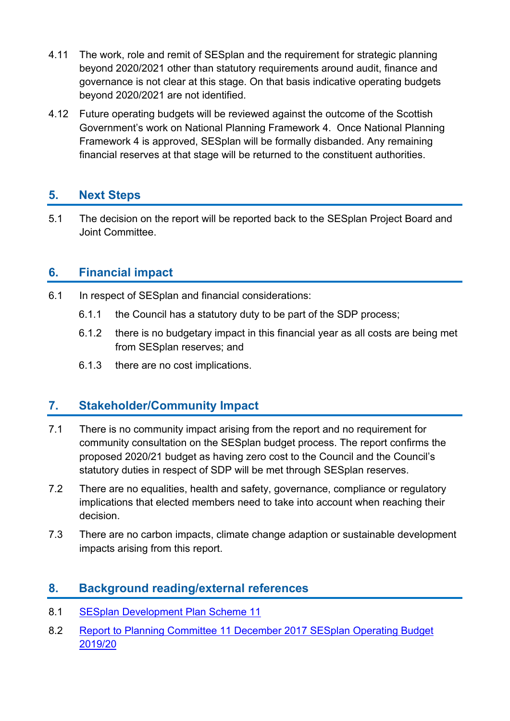- 4.11 The work, role and remit of SESplan and the requirement for strategic planning beyond 2020/2021 other than statutory requirements around audit, finance and governance is not clear at this stage. On that basis indicative operating budgets beyond 2020/2021 are not identified.
- 4.12 Future operating budgets will be reviewed against the outcome of the Scottish Government's work on National Planning Framework 4. Once National Planning Framework 4 is approved, SESplan will be formally disbanded. Any remaining financial reserves at that stage will be returned to the constituent authorities.

## **5. Next Steps**

5.1 The decision on the report will be reported back to the SESplan Project Board and Joint Committee.

## **6. Financial impact**

- 6.1 In respect of SESplan and financial considerations:
	- 6.1.1 the Council has a statutory duty to be part of the SDP process;
	- 6.1.2 there is no budgetary impact in this financial year as all costs are being met from SESplan reserves; and
	- 6.1.3 there are no cost implications.

## **7. Stakeholder/Community Impact**

- 7.1 There is no community impact arising from the report and no requirement for community consultation on the SESplan budget process. The report confirms the proposed 2020/21 budget as having zero cost to the Council and the Council's statutory duties in respect of SDP will be met through SESplan reserves.
- 7.2 There are no equalities, health and safety, governance, compliance or regulatory implications that elected members need to take into account when reaching their decision.
- 7.3 There are no carbon impacts, climate change adaption or sustainable development impacts arising from this report.

## **8. Background reading/external references**

- 8.1 SESplan Development Plan Scheme 11
- 8.2 Report to Planning Committee 11 December 2017 SESplan Operating Budget 2019/20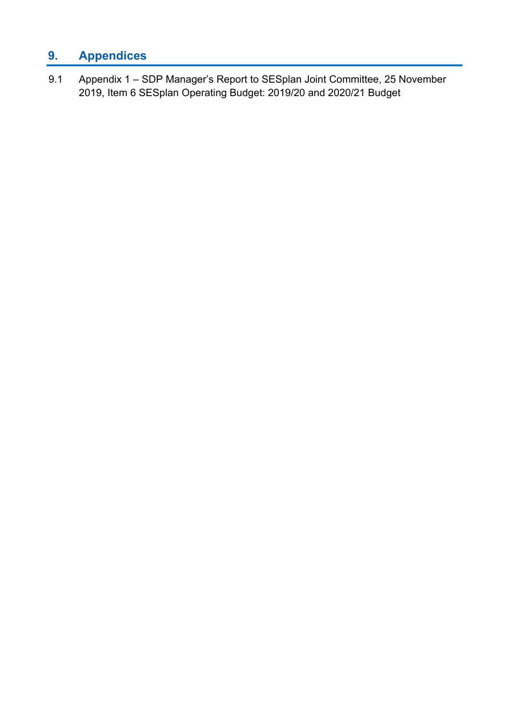## **9. Appendices**

9.1 Appendix 1 – SDP Manager's Report to SESplan Joint Committee, 25 November 2019, Item 6 SESplan Operating Budget: 2019/20 and 2020/21 Budget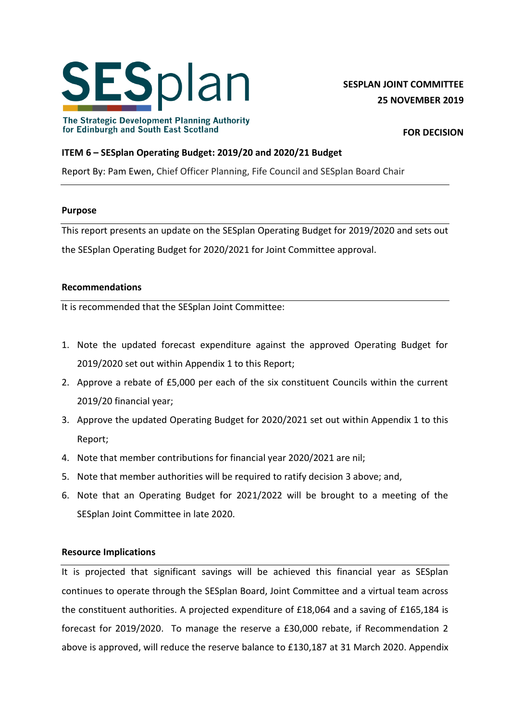

**SESPLAN JOINT COMMITTEE 25 NOVEMBER 2019**

The Strategic Development Planning Authority for Edinburgh and South East Scotland

**FOR DECISION**

#### **ITEM 6 – SESplan Operating Budget: 2019/20 and 2020/21 Budget**

Report By: Pam Ewen, Chief Officer Planning, Fife Council and SESplan Board Chair

#### **Purpose**

This report presents an update on the SESplan Operating Budget for 2019/2020 and sets out the SESplan Operating Budget for 2020/2021 for Joint Committee approval.

#### **Recommendations**

It is recommended that the SESplan Joint Committee:

- 1. Note the updated forecast expenditure against the approved Operating Budget for 2019/2020 set out within Appendix 1 to this Report;
- 2. Approve a rebate of £5,000 per each of the six constituent Councils within the current 2019/20 financial year;
- 3. Approve the updated Operating Budget for 2020/2021 set out within Appendix 1 to this Report;
- 4. Note that member contributions for financial year 2020/2021 are nil;
- 5. Note that member authorities will be required to ratify decision 3 above; and,
- 6. Note that an Operating Budget for 2021/2022 will be brought to a meeting of the SESplan Joint Committee in late 2020.

#### **Resource Implications**

It is projected that significant savings will be achieved this financial year as SESplan continues to operate through the SESplan Board, Joint Committee and a virtual team across the constituent authorities. A projected expenditure of £18,064 and a saving of £165,184 is forecast for 2019/2020. To manage the reserve a £30,000 rebate, if Recommendation 2 above is approved, will reduce the reserve balance to £130,187 at 31 March 2020. Appendix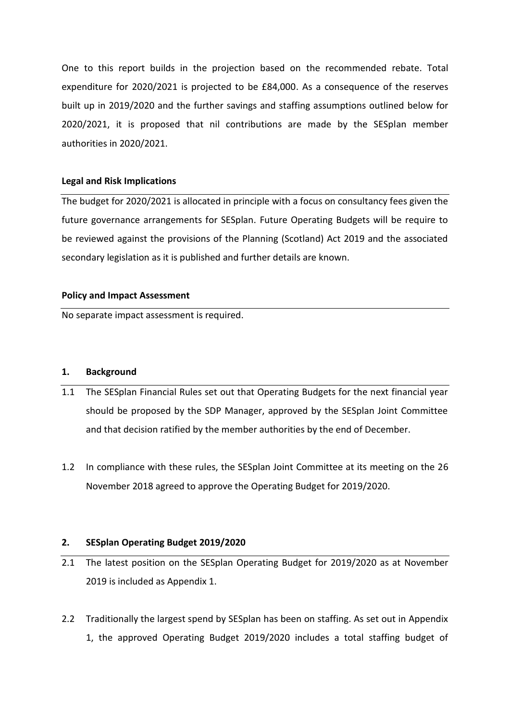One to this report builds in the projection based on the recommended rebate. Total expenditure for 2020/2021 is projected to be £84,000. As a consequence of the reserves built up in 2019/2020 and the further savings and staffing assumptions outlined below for 2020/2021, it is proposed that nil contributions are made by the SESplan member authorities in 2020/2021.

#### **Legal and Risk Implications**

The budget for 2020/2021 is allocated in principle with a focus on consultancy fees given the future governance arrangements for SESplan. Future Operating Budgets will be require to be reviewed against the provisions of the Planning (Scotland) Act 2019 and the associated secondary legislation as it is published and further details are known.

#### **Policy and Impact Assessment**

No separate impact assessment is required.

#### **1. Background**

- 1.1 The SESplan Financial Rules set out that Operating Budgets for the next financial year should be proposed by the SDP Manager, approved by the SESplan Joint Committee and that decision ratified by the member authorities by the end of December.
- 1.2 In compliance with these rules, the SESplan Joint Committee at its meeting on the 26 November 2018 agreed to approve the Operating Budget for 2019/2020.

#### **2. SESplan Operating Budget 2019/2020**

- 2.1 The latest position on the SESplan Operating Budget for 2019/2020 as at November 2019 is included as Appendix 1.
- 2.2 Traditionally the largest spend by SESplan has been on staffing. As set out in Appendix 1, the approved Operating Budget 2019/2020 includes a total staffing budget of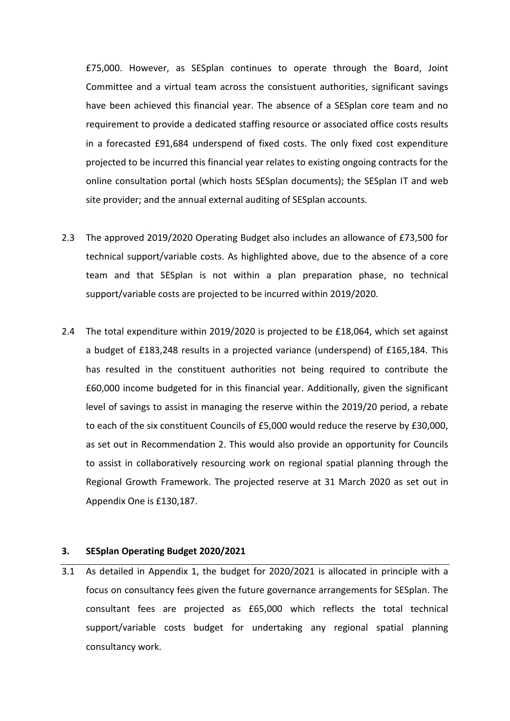£75,000. However, as SESplan continues to operate through the Board, Joint Committee and a virtual team across the consistuent authorities, significant savings have been achieved this financial year. The absence of a SESplan core team and no requirement to provide a dedicated staffing resource or associated office costs results in a forecasted £91,684 underspend of fixed costs. The only fixed cost expenditure projected to be incurred this financial year relates to existing ongoing contracts for the online consultation portal (which hosts SESplan documents); the SESplan IT and web site provider; and the annual external auditing of SESplan accounts.

- 2.3 The approved 2019/2020 Operating Budget also includes an allowance of £73,500 for technical support/variable costs. As highlighted above, due to the absence of a core team and that SESplan is not within a plan preparation phase, no technical support/variable costs are projected to be incurred within 2019/2020.
- 2.4 The total expenditure within 2019/2020 is projected to be £18,064, which set against a budget of £183,248 results in a projected variance (underspend) of £165,184. This has resulted in the constituent authorities not being required to contribute the £60,000 income budgeted for in this financial year. Additionally, given the significant level of savings to assist in managing the reserve within the 2019/20 period, a rebate to each of the six constituent Councils of £5,000 would reduce the reserve by £30,000, as set out in Recommendation 2. This would also provide an opportunity for Councils to assist in collaboratively resourcing work on regional spatial planning through the Regional Growth Framework. The projected reserve at 31 March 2020 as set out in Appendix One is £130,187.

#### **3. SESplan Operating Budget 2020/2021**

3.1 As detailed in Appendix 1, the budget for 2020/2021 is allocated in principle with a focus on consultancy fees given the future governance arrangements for SESplan. The consultant fees are projected as £65,000 which reflects the total technical support/variable costs budget for undertaking any regional spatial planning consultancy work.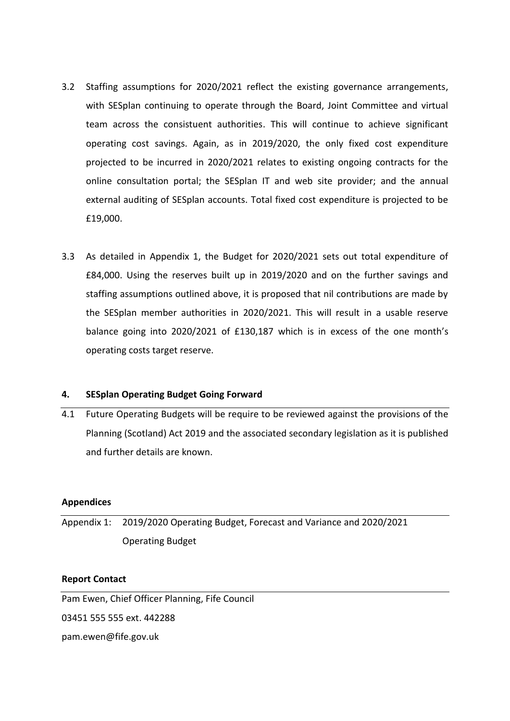- 3.2 Staffing assumptions for 2020/2021 reflect the existing governance arrangements, with SESplan continuing to operate through the Board, Joint Committee and virtual team across the consistuent authorities. This will continue to achieve significant operating cost savings. Again, as in 2019/2020, the only fixed cost expenditure projected to be incurred in 2020/2021 relates to existing ongoing contracts for the online consultation portal; the SESplan IT and web site provider; and the annual external auditing of SESplan accounts. Total fixed cost expenditure is projected to be £19,000.
- 3.3 As detailed in Appendix 1, the Budget for 2020/2021 sets out total expenditure of £84,000. Using the reserves built up in 2019/2020 and on the further savings and staffing assumptions outlined above, it is proposed that nil contributions are made by the SESplan member authorities in 2020/2021. This will result in a usable reserve balance going into 2020/2021 of £130,187 which is in excess of the one month's operating costs target reserve.

#### **4. SESplan Operating Budget Going Forward**

4.1 Future Operating Budgets will be require to be reviewed against the provisions of the Planning (Scotland) Act 2019 and the associated secondary legislation as it is published and further details are known.

#### **Appendices**

Appendix 1: 2019/2020 Operating Budget, Forecast and Variance and 2020/2021 Operating Budget

#### **Report Contact**

Pam Ewen, Chief Officer Planning, Fife Council

03451 555 555 ext. 442288

pam.ewen@fife.gov.uk